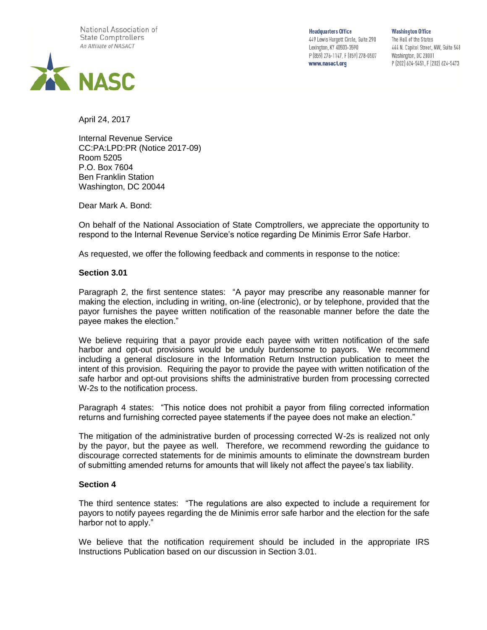National Association of **State Comptrollers** An Affiliate of NASACT



**Headquarters Office** 449 Lewis Hargett Circle, Suite 290 Lexington, KY 40503-3590 P (859) 276-1147, F (859) 278-0507 www.nasact.org

**Washington Office** The Hall of the States 444 N. Capitol Street, NW, Suite 548 Washington, DC 20001 P (202) 624-5451, F (202) 624-5473

April 24, 2017

Internal Revenue Service CC:PA:LPD:PR (Notice 2017-09) Room 5205 P.O. Box 7604 Ben Franklin Station Washington, DC 20044

Dear Mark A. Bond:

On behalf of the National Association of State Comptrollers, we appreciate the opportunity to respond to the Internal Revenue Service's notice regarding De Minimis Error Safe Harbor.

As requested, we offer the following feedback and comments in response to the notice:

## **Section 3.01**

Paragraph 2, the first sentence states: "A payor may prescribe any reasonable manner for making the election, including in writing, on-line (electronic), or by telephone, provided that the payor furnishes the payee written notification of the reasonable manner before the date the payee makes the election."

We believe requiring that a payor provide each payee with written notification of the safe harbor and opt-out provisions would be unduly burdensome to payors. We recommend including a general disclosure in the Information Return Instruction publication to meet the intent of this provision. Requiring the payor to provide the payee with written notification of the safe harbor and opt-out provisions shifts the administrative burden from processing corrected W-2s to the notification process.

Paragraph 4 states: "This notice does not prohibit a payor from filing corrected information returns and furnishing corrected payee statements if the payee does not make an election."

The mitigation of the administrative burden of processing corrected W-2s is realized not only by the payor, but the payee as well. Therefore, we recommend rewording the guidance to discourage corrected statements for de minimis amounts to eliminate the downstream burden of submitting amended returns for amounts that will likely not affect the payee's tax liability.

## **Section 4**

The third sentence states: "The regulations are also expected to include a requirement for payors to notify payees regarding the de Minimis error safe harbor and the election for the safe harbor not to apply."

We believe that the notification requirement should be included in the appropriate IRS Instructions Publication based on our discussion in Section 3.01.